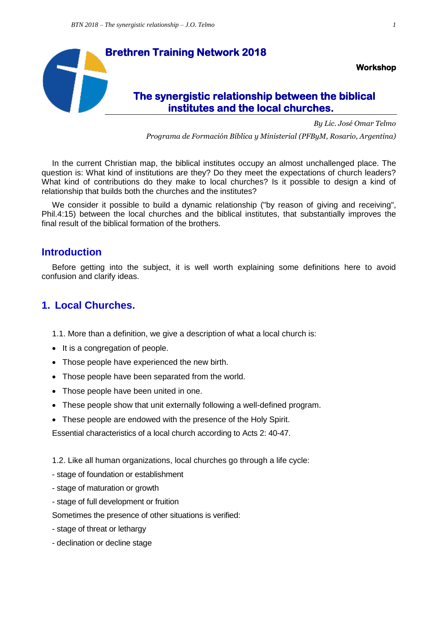

*By Lic. José Omar Telmo*

*Programa de Formación Bíblica y Ministerial (PFByM, Rosario, Argentina)*

In the current Christian map, the biblical institutes occupy an almost unchallenged place. The question is: What kind of institutions are they? Do they meet the expectations of church leaders? What kind of contributions do they make to local churches? Is it possible to design a kind of relationship that builds both the churches and the institutes?

We consider it possible to build a dynamic relationship ("by reason of giving and receiving", Phil.4:15) between the local churches and the biblical institutes, that substantially improves the final result of the biblical formation of the brothers.

### **Introduction**

Before getting into the subject, it is well worth explaining some definitions here to avoid confusion and clarify ideas.

# **1. Local Churches.**

- 1.1. More than a definition, we give a description of what a local church is:
- It is a congregation of people.
- Those people have experienced the new birth.
- Those people have been separated from the world.
- Those people have been united in one.
- These people show that unit externally following a well-defined program.
- These people are endowed with the presence of the Holy Spirit.

Essential characteristics of a local church according to Acts 2: 40-47.

1.2. Like all human organizations, local churches go through a life cycle:

- stage of foundation or establishment
- stage of maturation or growth
- stage of full development or fruition

Sometimes the presence of other situations is verified:

- stage of threat or lethargy
- declination or decline stage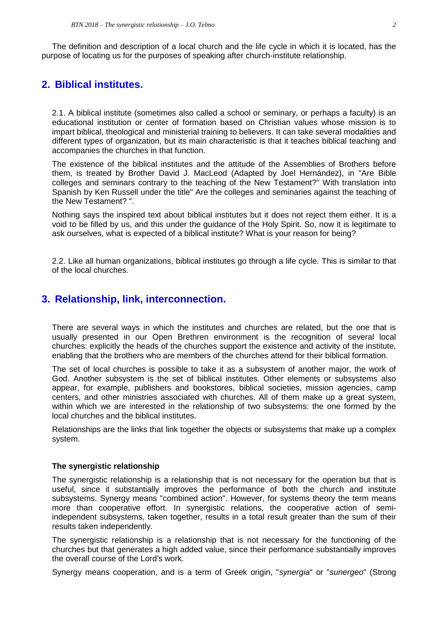The definition and description of a local church and the life cycle in which it is located, has the purpose of locating us for the purposes of speaking after church-institute relationship.

# **2. Biblical institutes.**

2.1. A biblical institute (sometimes also called a school or seminary, or perhaps a faculty) is an educational institution or center of formation based on Christian values whose mission is to impart biblical, theological and ministerial training to believers. It can take several modalities and different types of organization, but its main characteristic is that it teaches biblical teaching and accompanies the churches in that function.

The existence of the biblical institutes and the attitude of the Assemblies of Brothers before them, is treated by Brother David J. MacLeod (Adapted by Joel Hernández), in "Are Bible colleges and seminars contrary to the teaching of the New Testament?" With translation into Spanish by Ken Russell under the title" Are the colleges and seminaries against the teaching of the New Testament? ".

Nothing says the inspired text about biblical institutes but it does not reject them either. It is a void to be filled by us, and this under the guidance of the Holy Spirit. So, now it is legitimate to ask ourselves, what is expected of a biblical institute? What is your reason for being?

2.2. Like all human organizations, biblical institutes go through a life cycle. This is similar to that of the local churches.

### **3. Relationship, link, interconnection.**

There are several ways in which the institutes and churches are related, but the one that is usually presented in our Open Brethren environment is the recognition of several local churches: explicitly the heads of the churches support the existence and activity of the institute, enabling that the brothers who are members of the churches attend for their biblical formation.

The set of local churches is possible to take it as a subsystem of another major, the work of God. Another subsystem is the set of biblical institutes. Other elements or subsystems also appear, for example, publishers and bookstores, biblical societies, mission agencies, camp centers, and other ministries associated with churches. All of them make up a great system, within which we are interested in the relationship of two subsystems: the one formed by the local churches and the biblical institutes.

Relationships are the links that link together the objects or subsystems that make up a complex system.

#### **The synergistic relationship**

The synergistic relationship is a relationship that is not necessary for the operation but that is useful, since it substantially improves the performance of both the church and institute subsystems. Synergy means "combined action". However, for systems theory the term means more than cooperative effort. In synergistic relations, the cooperative action of semiindependent subsystems, taken together, results in a total result greater than the sum of their results taken independently.

The synergistic relationship is a relationship that is not necessary for the functioning of the churches but that generates a high added value, since their performance substantially improves the overall course of the Lord's work.

Synergy means cooperation, and is a term of Greek origin, "*synergia*" or "*sunergeo*" (Strong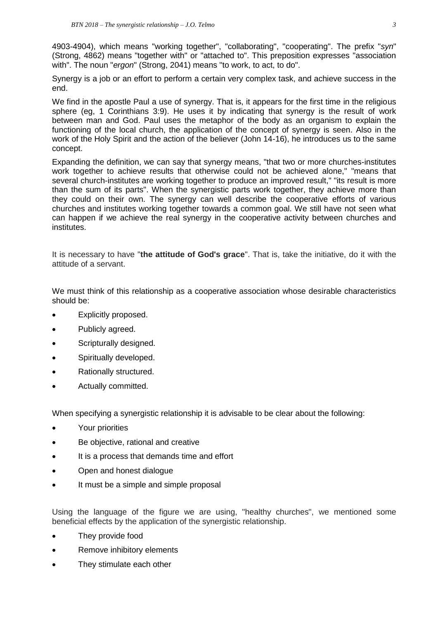4903-4904), which means "working together", "collaborating", "cooperating". The prefix "*syn*" (Strong, 4862) means "together with" or "attached to". This preposition expresses "association with". The noun "*ergon*" (Strong, 2041) means "to work, to act, to do".

Synergy is a job or an effort to perform a certain very complex task, and achieve success in the end.

We find in the apostle Paul a use of synergy. That is, it appears for the first time in the religious sphere (eg, 1 Corinthians 3:9). He uses it by indicating that synergy is the result of work between man and God. Paul uses the metaphor of the body as an organism to explain the functioning of the local church, the application of the concept of synergy is seen. Also in the work of the Holy Spirit and the action of the believer (John 14-16), he introduces us to the same concept.

Expanding the definition, we can say that synergy means, "that two or more churches-institutes work together to achieve results that otherwise could not be achieved alone," "means that several church-institutes are working together to produce an improved result," "its result is more than the sum of its parts". When the synergistic parts work together, they achieve more than they could on their own. The synergy can well describe the cooperative efforts of various churches and institutes working together towards a common goal. We still have not seen what can happen if we achieve the real synergy in the cooperative activity between churches and institutes.

It is necessary to have "**the attitude of God's grace**". That is, take the initiative, do it with the attitude of a servant.

We must think of this relationship as a cooperative association whose desirable characteristics should be:

- Explicitly proposed.
- Publicly agreed.
- Scripturally designed.
- Spiritually developed.
- Rationally structured.
- Actually committed.

When specifying a synergistic relationship it is advisable to be clear about the following:

- Your priorities
- Be objective, rational and creative
- It is a process that demands time and effort
- Open and honest dialogue
- It must be a simple and simple proposal

Using the language of the figure we are using, "healthy churches", we mentioned some beneficial effects by the application of the synergistic relationship.

- They provide food
- Remove inhibitory elements
- They stimulate each other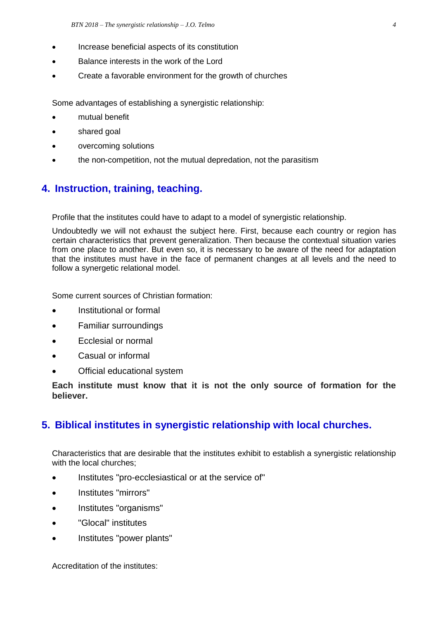- Increase beneficial aspects of its constitution
- Balance interests in the work of the Lord
- Create a favorable environment for the growth of churches

Some advantages of establishing a synergistic relationship:

- mutual benefit
- shared goal
- overcoming solutions
- the non-competition, not the mutual depredation, not the parasitism

## **4. Instruction, training, teaching.**

Profile that the institutes could have to adapt to a model of synergistic relationship.

Undoubtedly we will not exhaust the subject here. First, because each country or region has certain characteristics that prevent generalization. Then because the contextual situation varies from one place to another. But even so, it is necessary to be aware of the need for adaptation that the institutes must have in the face of permanent changes at all levels and the need to follow a synergetic relational model.

Some current sources of Christian formation:

- Institutional or formal
- Familiar surroundings
- Ecclesial or normal
- Casual or informal
- Official educational system

**Each institute must know that it is not the only source of formation for the believer.**

### **5. Biblical institutes in synergistic relationship with local churches.**

Characteristics that are desirable that the institutes exhibit to establish a synergistic relationship with the local churches;

- Institutes "pro-ecclesiastical or at the service of"
- Institutes "mirrors"
- Institutes "organisms"
- "Glocal" institutes
- Institutes "power plants"

Accreditation of the institutes: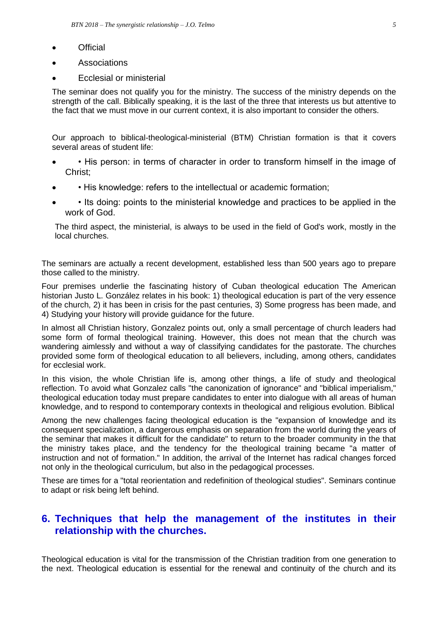- **Official**
- Associations
- Ecclesial or ministerial

The seminar does not qualify you for the ministry. The success of the ministry depends on the strength of the call. Biblically speaking, it is the last of the three that interests us but attentive to the fact that we must move in our current context, it is also important to consider the others.

Our approach to biblical-theological-ministerial (BTM) Christian formation is that it covers several areas of student life:

- • His person: in terms of character in order to transform himself in the image of Christ;
- • His knowledge: refers to the intellectual or academic formation;
- • Its doing: points to the ministerial knowledge and practices to be applied in the work of God.

The third aspect, the ministerial, is always to be used in the field of God's work, mostly in the local churches.

The seminars are actually a recent development, established less than 500 years ago to prepare those called to the ministry.

Four premises underlie the fascinating history of Cuban theological education The American historian Justo L. González relates in his book: 1) theological education is part of the very essence of the church, 2) it has been in crisis for the past centuries, 3) Some progress has been made, and 4) Studying your history will provide guidance for the future.

In almost all Christian history, Gonzalez points out, only a small percentage of church leaders had some form of formal theological training. However, this does not mean that the church was wandering aimlessly and without a way of classifying candidates for the pastorate. The churches provided some form of theological education to all believers, including, among others, candidates for ecclesial work.

In this vision, the whole Christian life is, among other things, a life of study and theological reflection. To avoid what Gonzalez calls "the canonization of ignorance" and "biblical imperialism," theological education today must prepare candidates to enter into dialogue with all areas of human knowledge, and to respond to contemporary contexts in theological and religious evolution. Biblical

Among the new challenges facing theological education is the "expansion of knowledge and its consequent specialization, a dangerous emphasis on separation from the world during the years of the seminar that makes it difficult for the candidate" to return to the broader community in the that the ministry takes place, and the tendency for the theological training became "a matter of instruction and not of formation." In addition, the arrival of the Internet has radical changes forced not only in the theological curriculum, but also in the pedagogical processes.

These are times for a "total reorientation and redefinition of theological studies". Seminars continue to adapt or risk being left behind.

## **6. Techniques that help the management of the institutes in their relationship with the churches.**

Theological education is vital for the transmission of the Christian tradition from one generation to the next. Theological education is essential for the renewal and continuity of the church and its